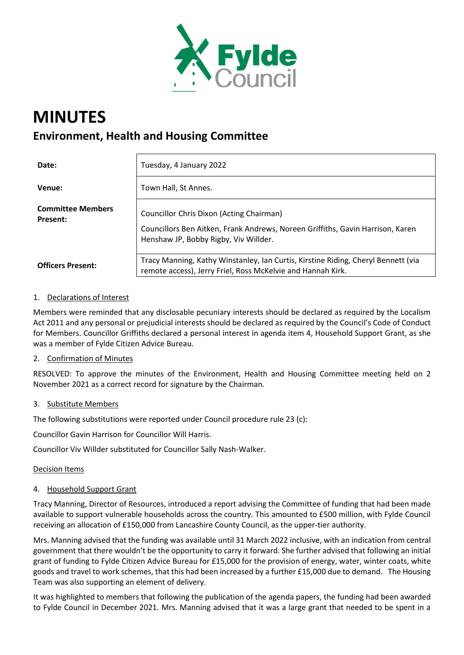

# **MINUTES Environment, Health and Housing Committee**

| Date:                                       | Tuesday, 4 January 2022                                                                                                                                             |
|---------------------------------------------|---------------------------------------------------------------------------------------------------------------------------------------------------------------------|
| Venue:                                      | Town Hall, St Annes.                                                                                                                                                |
| <b>Committee Members</b><br><b>Present:</b> | Councillor Chris Dixon (Acting Chairman)<br>Councillors Ben Aitken, Frank Andrews, Noreen Griffiths, Gavin Harrison, Karen<br>Henshaw JP, Bobby Rigby, Viv Willder. |
| <b>Officers Present:</b>                    | Tracy Manning, Kathy Winstanley, Ian Curtis, Kirstine Riding, Cheryl Bennett (via<br>remote access), Jerry Friel, Ross McKelvie and Hannah Kirk.                    |

## 1. Declarations of Interest

Members were reminded that any disclosable pecuniary interests should be declared as required by the Localism Act 2011 and any personal or prejudicial interests should be declared as required by the Council's Code of Conduct for Members. Councillor Griffiths declared a personal interest in agenda item 4, Household Support Grant, as she was a member of Fylde Citizen Advice Bureau.

#### 2. Confirmation of Minutes

RESOLVED: To approve the minutes of the Environment, Health and Housing Committee meeting held on 2 November 2021 as a correct record for signature by the Chairman.

#### 3. Substitute Members

The following substitutions were reported under Council procedure rule 23 (c):

Councillor Gavin Harrison for Councillor Will Harris.

Councillor Viv Willder substituted for Councillor Sally Nash-Walker.

#### Decision Items

## 4. Household Support Grant

Tracy Manning, Director of Resources, introduced a report advising the Committee of funding that had been made available to support vulnerable households across the country. This amounted to £500 million, with Fylde Council receiving an allocation of £150,000 from Lancashire County Council, as the upper-tier authority.

Mrs. Manning advised that the funding was available until 31 March 2022 inclusive, with an indication from central government that there wouldn't be the opportunity to carry it forward. She further advised that following an initial grant of funding to Fylde Citizen Advice Bureau for £15,000 for the provision of energy, water, winter coats, white goods and travel to work schemes, that this had been increased by a further £15,000 due to demand. The Housing Team was also supporting an element of delivery.

It was highlighted to members that following the publication of the agenda papers, the funding had been awarded to Fylde Council in December 2021. Mrs. Manning advised that it was a large grant that needed to be spent in a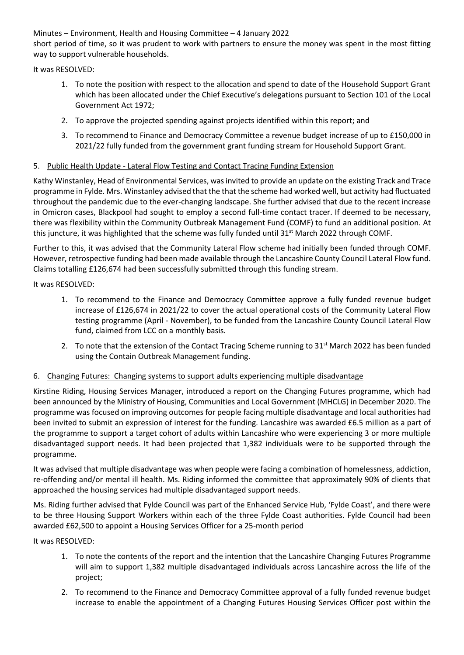Minutes – Environment, Health and Housing Committee – 4 January 2022 short period of time, so it was prudent to work with partners to ensure the money was spent in the most fitting way to support vulnerable households.

It was RESOLVED:

- 1. To note the position with respect to the allocation and spend to date of the Household Support Grant which has been allocated under the Chief Executive's delegations pursuant to Section 101 of the Local Government Act 1972;
- 2. To approve the projected spending against projects identified within this report; and
- 3. To recommend to Finance and Democracy Committee a revenue budget increase of up to £150,000 in 2021/22 fully funded from the government grant funding stream for Household Support Grant.

# 5. Public Health Update - Lateral Flow Testing and Contact Tracing Funding Extension

Kathy Winstanley, Head of Environmental Services, was invited to provide an update on the existing Track and Trace programme in Fylde. Mrs. Winstanley advised that the that the scheme had worked well, but activity had fluctuated throughout the pandemic due to the ever-changing landscape. She further advised that due to the recent increase in Omicron cases, Blackpool had sought to employ a second full-time contact tracer. If deemed to be necessary, there was flexibility within the Community Outbreak Management Fund (COMF) to fund an additional position. At this juncture, it was highlighted that the scheme was fully funded until 31<sup>st</sup> March 2022 through COMF.

Further to this, it was advised that the Community Lateral Flow scheme had initially been funded through COMF. However, retrospective funding had been made available through the Lancashire County Council Lateral Flow fund. Claims totalling £126,674 had been successfully submitted through this funding stream.

It was RESOLVED:

- 1. To recommend to the Finance and Democracy Committee approve a fully funded revenue budget increase of £126,674 in 2021/22 to cover the actual operational costs of the Community Lateral Flow testing programme (April - November), to be funded from the Lancashire County Council Lateral Flow fund, claimed from LCC on a monthly basis.
- 2. To note that the extension of the Contact Tracing Scheme running to 31<sup>st</sup> March 2022 has been funded using the Contain Outbreak Management funding.

## 6. Changing Futures: Changing systems to support adults experiencing multiple disadvantage

Kirstine Riding, Housing Services Manager, introduced a report on the Changing Futures programme, which had been announced by the Ministry of Housing, Communities and Local Government (MHCLG) in December 2020. The programme was focused on improving outcomes for people facing multiple disadvantage and local authorities had been invited to submit an expression of interest for the funding. Lancashire was awarded £6.5 million as a part of the programme to support a target cohort of adults within Lancashire who were experiencing 3 or more multiple disadvantaged support needs. It had been projected that 1,382 individuals were to be supported through the programme.

It was advised that multiple disadvantage was when people were facing a combination of homelessness, addiction, re-offending and/or mental ill health. Ms. Riding informed the committee that approximately 90% of clients that approached the housing services had multiple disadvantaged support needs.

Ms. Riding further advised that Fylde Council was part of the Enhanced Service Hub, 'Fylde Coast', and there were to be three Housing Support Workers within each of the three Fylde Coast authorities. Fylde Council had been awarded £62,500 to appoint a Housing Services Officer for a 25-month period

It was RESOLVED:

- 1. To note the contents of the report and the intention that the Lancashire Changing Futures Programme will aim to support 1,382 multiple disadvantaged individuals across Lancashire across the life of the project;
- 2. To recommend to the Finance and Democracy Committee approval of a fully funded revenue budget increase to enable the appointment of a Changing Futures Housing Services Officer post within the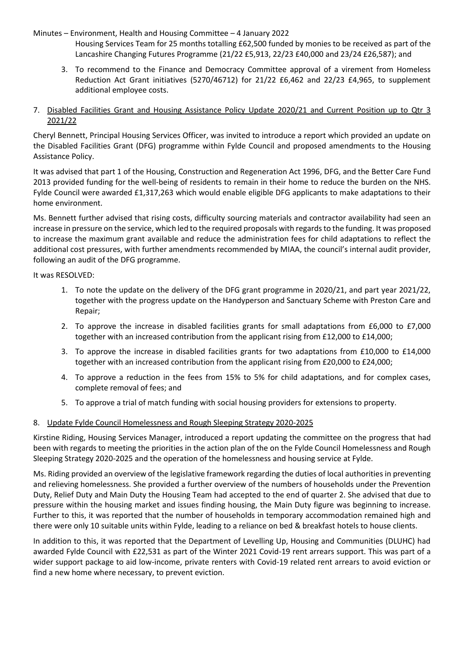Minutes – Environment, Health and Housing Committee – 4 January 2022

- Housing Services Team for 25 months totalling £62,500 funded by monies to be received as part of the Lancashire Changing Futures Programme (21/22 £5,913, 22/23 £40,000 and 23/24 £26,587); and
- 3. To recommend to the Finance and Democracy Committee approval of a virement from Homeless Reduction Act Grant initiatives (5270/46712) for 21/22 £6,462 and 22/23 £4,965, to supplement additional employee costs.

## 7. Disabled Facilities Grant and Housing Assistance Policy Update 2020/21 and Current Position up to Qtr 3 2021/22

Cheryl Bennett, Principal Housing Services Officer, was invited to introduce a report which provided an update on the Disabled Facilities Grant (DFG) programme within Fylde Council and proposed amendments to the Housing Assistance Policy.

It was advised that part 1 of the Housing, Construction and Regeneration Act 1996, DFG, and the Better Care Fund 2013 provided funding for the well-being of residents to remain in their home to reduce the burden on the NHS. Fylde Council were awarded £1,317,263 which would enable eligible DFG applicants to make adaptations to their home environment.

Ms. Bennett further advised that rising costs, difficulty sourcing materials and contractor availability had seen an increase in pressure on the service, which led to the required proposals with regards to the funding. It was proposed to increase the maximum grant available and reduce the administration fees for child adaptations to reflect the additional cost pressures, with further amendments recommended by MIAA, the council's internal audit provider, following an audit of the DFG programme.

It was RESOLVED:

- 1. To note the update on the delivery of the DFG grant programme in 2020/21, and part year 2021/22, together with the progress update on the Handyperson and Sanctuary Scheme with Preston Care and Repair;
- 2. To approve the increase in disabled facilities grants for small adaptations from £6,000 to £7,000 together with an increased contribution from the applicant rising from £12,000 to £14,000;
- 3. To approve the increase in disabled facilities grants for two adaptations from £10,000 to £14,000 together with an increased contribution from the applicant rising from £20,000 to £24,000;
- 4. To approve a reduction in the fees from 15% to 5% for child adaptations, and for complex cases, complete removal of fees; and
- 5. To approve a trial of match funding with social housing providers for extensions to property.

## 8. Update Fylde Council Homelessness and Rough Sleeping Strategy 2020-2025

Kirstine Riding, Housing Services Manager, introduced a report updating the committee on the progress that had been with regards to meeting the priorities in the action plan of the on the Fylde Council Homelessness and Rough Sleeping Strategy 2020-2025 and the operation of the homelessness and housing service at Fylde.

Ms. Riding provided an overview of the legislative framework regarding the duties of local authorities in preventing and relieving homelessness. She provided a further overview of the numbers of households under the Prevention Duty, Relief Duty and Main Duty the Housing Team had accepted to the end of quarter 2. She advised that due to pressure within the housing market and issues finding housing, the Main Duty figure was beginning to increase. Further to this, it was reported that the number of households in temporary accommodation remained high and there were only 10 suitable units within Fylde, leading to a reliance on bed & breakfast hotels to house clients.

In addition to this, it was reported that the Department of Levelling Up, Housing and Communities (DLUHC) had awarded Fylde Council with £22,531 as part of the Winter 2021 Covid-19 rent arrears support. This was part of a wider support package to aid low-income, private renters with Covid-19 related rent arrears to avoid eviction or find a new home where necessary, to prevent eviction.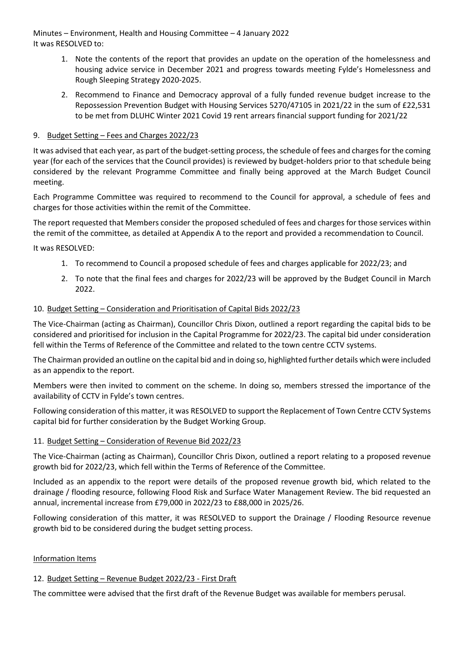Minutes – Environment, Health and Housing Committee – 4 January 2022 It was RESOLVED to:

- 1. Note the contents of the report that provides an update on the operation of the homelessness and housing advice service in December 2021 and progress towards meeting Fylde's Homelessness and Rough Sleeping Strategy 2020-2025.
- 2. Recommend to Finance and Democracy approval of a fully funded revenue budget increase to the Repossession Prevention Budget with Housing Services 5270/47105 in 2021/22 in the sum of £22,531 to be met from DLUHC Winter 2021 Covid 19 rent arrears financial support funding for 2021/22

#### 9. Budget Setting – Fees and Charges 2022/23

It was advised that each year, as part of the budget-setting process, the schedule of fees and charges for the coming year (for each of the services that the Council provides) is reviewed by budget-holders prior to that schedule being considered by the relevant Programme Committee and finally being approved at the March Budget Council meeting.

Each Programme Committee was required to recommend to the Council for approval, a schedule of fees and charges for those activities within the remit of the Committee.

The report requested that Members consider the proposed scheduled of fees and charges for those services within the remit of the committee, as detailed at Appendix A to the report and provided a recommendation to Council.

It was RESOLVED:

- 1. To recommend to Council a proposed schedule of fees and charges applicable for 2022/23; and
- 2. To note that the final fees and charges for 2022/23 will be approved by the Budget Council in March 2022.

#### 10. Budget Setting – Consideration and Prioritisation of Capital Bids 2022/23

The Vice-Chairman (acting as Chairman), Councillor Chris Dixon, outlined a report regarding the capital bids to be considered and prioritised for inclusion in the Capital Programme for 2022/23. The capital bid under consideration fell within the Terms of Reference of the Committee and related to the town centre CCTV systems.

The Chairman provided an outline on the capital bid and in doing so, highlighted further details which were included as an appendix to the report.

Members were then invited to comment on the scheme. In doing so, members stressed the importance of the availability of CCTV in Fylde's town centres.

Following consideration of this matter, it was RESOLVED to support the Replacement of Town Centre CCTV Systems capital bid for further consideration by the Budget Working Group.

#### 11. Budget Setting – Consideration of Revenue Bid 2022/23

The Vice-Chairman (acting as Chairman), Councillor Chris Dixon, outlined a report relating to a proposed revenue growth bid for 2022/23, which fell within the Terms of Reference of the Committee.

Included as an appendix to the report were details of the proposed revenue growth bid, which related to the drainage / flooding resource, following Flood Risk and Surface Water Management Review. The bid requested an annual, incremental increase from £79,000 in 2022/23 to £88,000 in 2025/26.

Following consideration of this matter, it was RESOLVED to support the Drainage / Flooding Resource revenue growth bid to be considered during the budget setting process.

#### Information Items

## 12. Budget Setting – Revenue Budget 2022/23 - First Draft

The committee were advised that the first draft of the Revenue Budget was available for members perusal.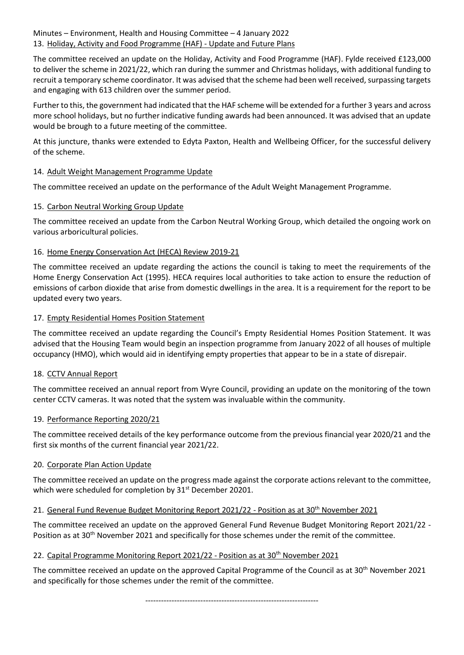# Minutes – Environment, Health and Housing Committee – 4 January 2022 13. Holiday, Activity and Food Programme (HAF) - Update and Future Plans

The committee received an update on the Holiday, Activity and Food Programme (HAF). Fylde received £123,000 to deliver the scheme in 2021/22, which ran during the summer and Christmas holidays, with additional funding to recruit a temporary scheme coordinator. It was advised that the scheme had been well received, surpassing targets and engaging with 613 children over the summer period.

Further to this, the government had indicated that the HAF scheme will be extended for a further 3 years and across more school holidays, but no further indicative funding awards had been announced. It was advised that an update would be brough to a future meeting of the committee.

At this juncture, thanks were extended to Edyta Paxton, Health and Wellbeing Officer, for the successful delivery of the scheme.

## 14. Adult Weight Management Programme Update

The committee received an update on the performance of the Adult Weight Management Programme.

# 15. Carbon Neutral Working Group Update

The committee received an update from the Carbon Neutral Working Group, which detailed the ongoing work on various arboricultural policies.

## 16. Home Energy Conservation Act (HECA) Review 2019-21

The committee received an update regarding the actions the council is taking to meet the requirements of the Home Energy Conservation Act (1995). HECA requires local authorities to take action to ensure the reduction of emissions of carbon dioxide that arise from domestic dwellings in the area. It is a requirement for the report to be updated every two years.

## 17. Empty Residential Homes Position Statement

The committee received an update regarding the Council's Empty Residential Homes Position Statement. It was advised that the Housing Team would begin an inspection programme from January 2022 of all houses of multiple occupancy (HMO), which would aid in identifying empty properties that appear to be in a state of disrepair.

## 18. CCTV Annual Report

The committee received an annual report from Wyre Council, providing an update on the monitoring of the town center CCTV cameras. It was noted that the system was invaluable within the community.

## 19. Performance Reporting 2020/21

The committee received details of the key performance outcome from the previous financial year 2020/21 and the first six months of the current financial year 2021/22.

## 20. Corporate Plan Action Update

The committee received an update on the progress made against the corporate actions relevant to the committee, which were scheduled for completion by 31<sup>st</sup> December 20201.

## 21. General Fund Revenue Budget Monitoring Report 2021/22 - Position as at 30th November 2021

The committee received an update on the approved General Fund Revenue Budget Monitoring Report 2021/22 - Position as at 30<sup>th</sup> November 2021 and specifically for those schemes under the remit of the committee.

## 22. Capital Programme Monitoring Report 2021/22 - Position as at 30<sup>th</sup> November 2021

The committee received an update on the approved Capital Programme of the Council as at 30<sup>th</sup> November 2021 and specifically for those schemes under the remit of the committee.

------------------------------------------------------------------